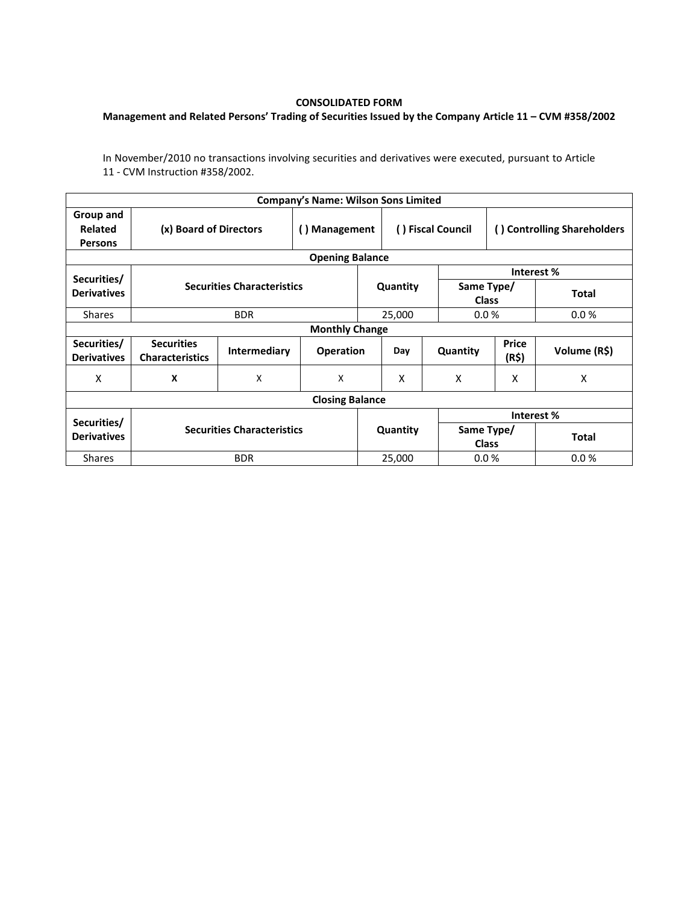## **CONSOLIDATED FORM**

## **Management and Related Persons' Trading of Securities Issued by the Company Article 11 – CVM #358/2002**

In November/2010 no transactions involving securities and derivatives were executed, pursuant to Article 11 - CVM Instruction #358/2002.

|                                               |                                             |                           | <b>Company's Name: Wilson Sons Limited</b> |                   |                |                             |                |              |  |  |  |
|-----------------------------------------------|---------------------------------------------|---------------------------|--------------------------------------------|-------------------|----------------|-----------------------------|----------------|--------------|--|--|--|
| Group and<br><b>Related</b><br><b>Persons</b> | (x) Board of Directors                      | () Management             |                                            | () Fiscal Council |                | () Controlling Shareholders |                |              |  |  |  |
| <b>Opening Balance</b>                        |                                             |                           |                                            |                   |                |                             |                |              |  |  |  |
| Securities/                                   | <b>Securities Characteristics</b>           |                           |                                            |                   |                |                             | Interest %     |              |  |  |  |
| <b>Derivatives</b>                            |                                             |                           |                                            |                   | Quantity       | Same Type/<br><b>Class</b>  |                | <b>Total</b> |  |  |  |
| <b>Shares</b>                                 |                                             | <b>BDR</b>                |                                            |                   | 25,000         | 0.0%                        |                | 0.0%         |  |  |  |
| <b>Monthly Change</b>                         |                                             |                           |                                            |                   |                |                             |                |              |  |  |  |
| Securities/<br><b>Derivatives</b>             | <b>Securities</b><br><b>Characteristics</b> | <b>Intermediary</b>       | <b>Operation</b>                           |                   | Day            | Quantity                    | Price<br>(R\$) | Volume (R\$) |  |  |  |
| x                                             | X                                           | $\boldsymbol{\mathsf{X}}$ | X                                          |                   | X              | X                           | X              | X            |  |  |  |
| <b>Closing Balance</b>                        |                                             |                           |                                            |                   |                |                             |                |              |  |  |  |
|                                               |                                             |                           |                                            |                   |                | Interest %                  |                |              |  |  |  |
| Securities/<br><b>Derivatives</b>             | <b>Securities Characteristics</b>           |                           |                                            | Quantity          |                | Same Type/<br><b>Class</b>  |                | <b>Total</b> |  |  |  |
| <b>Shares</b>                                 |                                             | <b>BDR</b>                |                                            |                   | 25,000<br>0.0% |                             |                | 0.0%         |  |  |  |